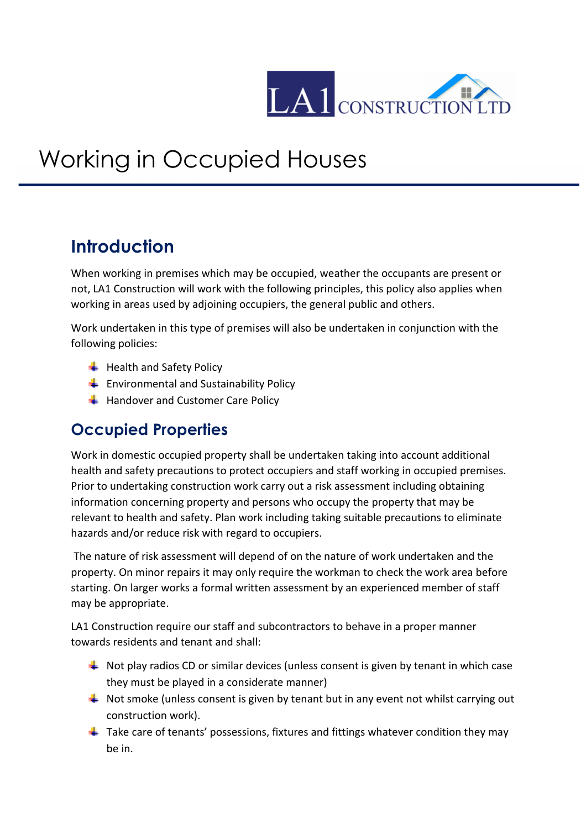

## Working in Occupied Houses

## **Introduction**

When working in premises which may be occupied, weather the occupants are present or not, LA1 Construction will work with the following principles, this policy also applies when working in areas used by adjoining occupiers, the general public and others.

Work undertaken in this type of premises will also be undertaken in conjunction with the following policies:

- $\bigstar$  Health and Safety Policy
- $\leftarrow$  Environmental and Sustainability Policy
- $\bigstar$  Handover and Customer Care Policy

## **Occupied Properties**

Work in domestic occupied property shall be undertaken taking into account additional health and safety precautions to protect occupiers and staff working in occupied premises. Prior to undertaking construction work carry out a risk assessment including obtaining information concerning property and persons who occupy the property that may be relevant to health and safety. Plan work including taking suitable precautions to eliminate hazards and/or reduce risk with regard to occupiers.

 The nature of risk assessment will depend of on the nature of work undertaken and the property. On minor repairs it may only require the workman to check the work area before starting. On larger works a formal written assessment by an experienced member of staff may be appropriate.

LA1 Construction require our staff and subcontractors to behave in a proper manner towards residents and tenant and shall:

- $\downarrow$  Not play radios CD or similar devices (unless consent is given by tenant in which case they must be played in a considerate manner)
- $\downarrow$  Not smoke (unless consent is given by tenant but in any event not whilst carrying out construction work).
- $\ddot{\phantom{1}}$  Take care of tenants' possessions, fixtures and fittings whatever condition they may be in.